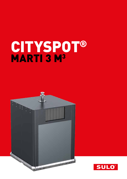# CITYSPOT® MARTI 3 M<sup>3</sup>

E

**Service** 

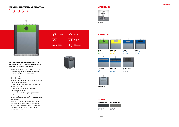



## PREMIUM IN DESIGN AND FUNCTION Marti 3 m3

Ã

### **This solid and puristic metal bank allows the optimal use of the full volume and obstacle-free insertion of large-sized recyclables**

A County Many 1971 N. R. The British

- Rounded edges and smooth surfaces without dead spaces guarantee maximum comfort in handling, emptying and maintenance
- **Advanced ergonomics due to reduced** throw-in-height
- Best ratio size-useable-space thanks to double chains guided by rollers
- **Interior can be completely filled, no obstacle for** throwing and collecting
- 90° opening flaps mean that emptying is completely friction-free
- The ultimate bank for large recyclables and cardboard
- Large metal surfaces allow full individualisation with stickers
- **Marti is the only recycling bank that can be** equiped with access control for pay as you throw policy. It´s moveability is an advantage in comparison with underground and semiundergroundsystem



#### LIFTING DEVICES



Kinshofer

### SLOT SYSTEMS\*

**VERTICAL** 

r

 $\blacktriangleright$ 

\* All slot Systems on demand









**Cardboard** Signal Blue

RAL 5005

**Cardboard** Signal Blue



RAL 5005

**Residual waste**



Slate Grey RAL 7015



**COLOURS** 

**Paper** Signal Blue RAL 5005

**Big user Flap**

LEVEL MEASUREMENT

PAY AS YOU

DISABILITY ACCESS  $\frac{1}{\sqrt{6}}$   $\frac{1}{\sqrt{6}}$ 

BILATERAL

莆

 $($ ((

ACCESS CONTROL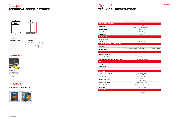

B

| Marti 3m <sup>3</sup><br>Dimensions $\sim$ (mm) |      | <b>Volumes</b>                            |     |
|-------------------------------------------------|------|-------------------------------------------|-----|
| A Width                                         | 1450 | Useful Volumes ~ $[m^3]$ 2,90             |     |
| <b>B</b> Height                                 | 2028 | Unloaded weight (kg)                      | 310 |
| C Depth                                         | 1508 | Space requirements (m <sup>2</sup> ) 2,19 |     |

### Cityspot® TECHNICAL SPECIFICATIONS\*

## Cityspot® TECHNICAL INFORMATION\*



|                                           | 3 m <sup>3</sup>                                                                        |  |
|-------------------------------------------|-----------------------------------------------------------------------------------------|--|
| <b>TECHNICAL SPECIFICATIONS</b>           |                                                                                         |  |
| <b>Dimensions</b>                         | Depth: 1508 mm,<br>Width: 1190 mm, Height: 2028 mm                                      |  |
| Useful volumes                            | $2,71-2,9$ m <sup>3</sup>                                                               |  |
| <b>Unloaded weigth</b>                    | 295-310 kg                                                                              |  |
| <b>Lifting device</b>                     | Kinshofer                                                                               |  |
| <b>INSTALLATION</b>                       |                                                                                         |  |
| <b>Space requirements</b>                 | 1,79                                                                                    |  |
| <b>Transport</b>                          | 9 per truck                                                                             |  |
| HANDLING, COMFORT AND FLEXIBILITY         |                                                                                         |  |
| <b>Accesibility</b>                       |                                                                                         |  |
| Sound-proofing                            | Double skin installation: polyethylene foam + high density polyethy-<br>lene protection |  |
| <b>EMPTYING</b>                           |                                                                                         |  |
| <b>Number of operators</b>                | ŧ                                                                                       |  |
| <b>Duration of emptying</b>               | $1-2$ min                                                                               |  |
| Emptying system according prehension grip | Double flap, vertical                                                                   |  |
| <b>SERVICE</b>                            |                                                                                         |  |
| Pay as you throw billing                  | $\blacksquare$                                                                          |  |
| <b>Access control</b>                     |                                                                                         |  |
| <b>Level measurement</b>                  | ٠                                                                                       |  |
| <b>FRACTIONS</b>                          |                                                                                         |  |
| <b>Regular waste RAL 7015</b>             | Flap: 620x305 mm<br>Strap port: 620x330 mm                                              |  |
| Paper RAL 5005                            | Valve: 490x110 mm                                                                       |  |
| Packaging RAL 1018                        | Valve: 400x230 mm or<br>620x305 mm                                                      |  |
| Cardboard RAL 5005                        | Valve: 900x110 mm                                                                       |  |
| Glass RAL 6018                            | EPDM flap - Ø200 mm hole                                                                |  |
| <b>Big user flap</b>                      | 620 x 327 mm                                                                            |  |
| <b>STANDARDS</b>                          |                                                                                         |  |

NF EN 13071

### CENTERING SYSTEM



Facilitate the stations; so banks are always aligned at the same location 100 x 36,7

**Front and Rear Sides and Top**



#### PERSONALISATION